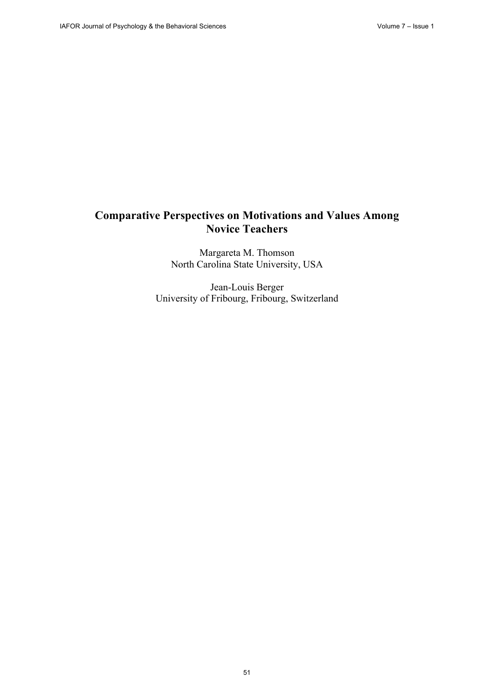# **Comparative Perspectives on Motivations and Values Among Novice Teachers**

Margareta M. Thomson North Carolina State University, USA

Jean-Louis Berger University of Fribourg, Fribourg, Switzerland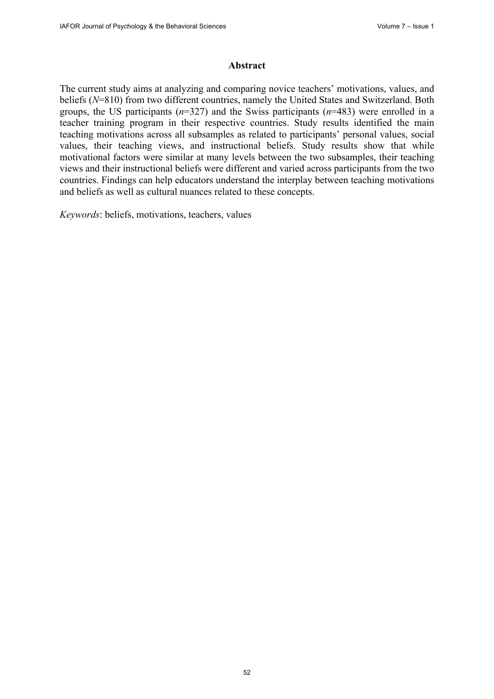#### **Abstract**

The current study aims at analyzing and comparing novice teachers' motivations, values, and beliefs (*N*=810) from two different countries, namely the United States and Switzerland. Both groups, the US participants (*n*=327) and the Swiss participants (*n*=483) were enrolled in a teacher training program in their respective countries. Study results identified the main teaching motivations across all subsamples as related to participants' personal values, social values, their teaching views, and instructional beliefs. Study results show that while motivational factors were similar at many levels between the two subsamples, their teaching views and their instructional beliefs were different and varied across participants from the two countries. Findings can help educators understand the interplay between teaching motivations and beliefs as well as cultural nuances related to these concepts.

*Keywords*: beliefs, motivations, teachers, values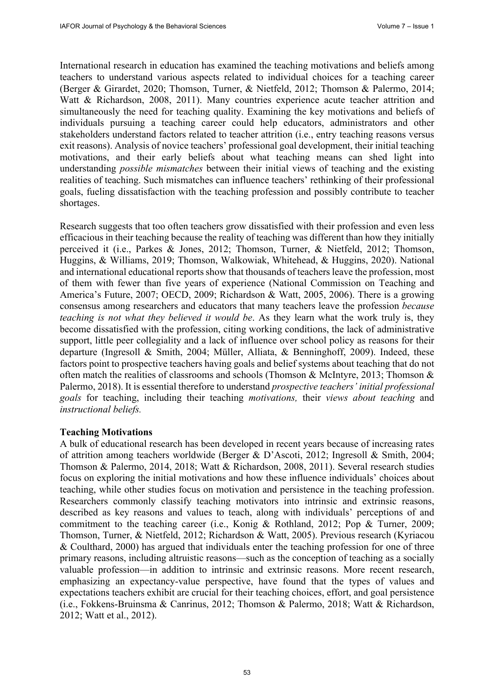International research in education has examined the teaching motivations and beliefs among teachers to understand various aspects related to individual choices for a teaching career (Berger & Girardet, 2020; Thomson, Turner, & Nietfeld, 2012; Thomson & Palermo, 2014; Watt & Richardson, 2008, 2011). Many countries experience acute teacher attrition and simultaneously the need for teaching quality. Examining the key motivations and beliefs of individuals pursuing a teaching career could help educators, administrators and other stakeholders understand factors related to teacher attrition (i.e., entry teaching reasons versus exit reasons). Analysis of novice teachers' professional goal development, their initial teaching motivations, and their early beliefs about what teaching means can shed light into understanding *possible mismatches* between their initial views of teaching and the existing realities of teaching. Such mismatches can influence teachers' rethinking of their professional goals, fueling dissatisfaction with the teaching profession and possibly contribute to teacher shortages.

Research suggests that too often teachers grow dissatisfied with their profession and even less efficacious in their teaching because the reality of teaching was different than how they initially perceived it (i.e., Parkes & Jones, 2012; Thomson, Turner, & Nietfeld, 2012; Thomson, Huggins, & Williams, 2019; Thomson, Walkowiak, Whitehead, & Huggins, 2020). National and international educational reports show that thousands of teachers leave the profession, most of them with fewer than five years of experience (National Commission on Teaching and America's Future, 2007; OECD, 2009; Richardson & Watt, 2005, 2006). There is a growing consensus among researchers and educators that many teachers leave the profession *because teaching is not what they believed it would be*. As they learn what the work truly is, they become dissatisfied with the profession, citing working conditions, the lack of administrative support, little peer collegiality and a lack of influence over school policy as reasons for their departure (Ingresoll & Smith, 2004; Müller, Alliata, & Benninghoff, 2009). Indeed, these factors point to prospective teachers having goals and belief systems about teaching that do not often match the realities of classrooms and schools (Thomson & McIntyre, 2013; Thomson & Palermo, 2018). It is essential therefore to understand *prospective teachers' initial professional goals* for teaching, including their teaching *motivations,* their *views about teaching* and *instructional beliefs.* 

#### **Teaching Motivations**

A bulk of educational research has been developed in recent years because of increasing rates of attrition among teachers worldwide (Berger & D'Ascoti, 2012; Ingresoll & Smith, 2004; Thomson & Palermo, 2014, 2018; Watt & Richardson, 2008, 2011). Several research studies focus on exploring the initial motivations and how these influence individuals' choices about teaching, while other studies focus on motivation and persistence in the teaching profession. Researchers commonly classify teaching motivators into intrinsic and extrinsic reasons, described as key reasons and values to teach, along with individuals' perceptions of and commitment to the teaching career (i.e., Konig & Rothland, 2012; Pop & Turner, 2009; Thomson, Turner, & Nietfeld, 2012; Richardson & Watt, 2005). Previous research (Kyriacou & Coulthard, 2000) has argued that individuals enter the teaching profession for one of three primary reasons, including altruistic reasons—such as the conception of teaching as a socially valuable profession—in addition to intrinsic and extrinsic reasons. More recent research, emphasizing an expectancy-value perspective, have found that the types of values and expectations teachers exhibit are crucial for their teaching choices, effort, and goal persistence (i.e., Fokkens-Bruinsma & Canrinus, 2012; Thomson & Palermo, 2018; Watt & Richardson, 2012; Watt et al., 2012).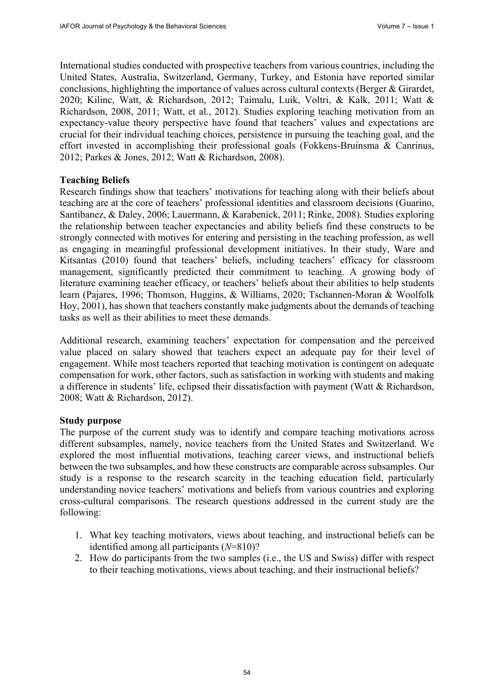International studies conducted with prospective teachers from various countries, including the United States, Australia, Switzerland, Germany, Turkey, and Estonia have reported similar conclusions, highlighting the importance of values across cultural contexts (Berger & Girardet, 2020; Kilinc, Watt, & Richardson, 2012; Taimalu, Luik, Voltri, & Kalk, 2011; Watt & Richardson, 2008, 2011; Watt, et al., 2012). Studies exploring teaching motivation from an expectancy-value theory perspective have found that teachers' values and expectations are crucial for their individual teaching choices, persistence in pursuing the teaching goal, and the effort invested in accomplishing their professional goals (Fokkens-Bruinsma & Canrinus, 2012; Parkes & Jones, 2012; Watt & Richardson, 2008).

#### **Teaching Beliefs**

Research findings show that teachers' motivations for teaching along with their beliefs about teaching are at the core of teachers' professional identities and classroom decisions (Guarino, Santibanez, & Daley, 2006; Lauermann, & Karabenick, 2011; Rinke, 2008). Studies exploring the relationship between teacher expectancies and ability beliefs find these constructs to be strongly connected with motives for entering and persisting in the teaching profession, as well as engaging in meaningful professional development initiatives. In their study, Ware and Kitsantas (2010) found that teachers' beliefs, including teachers' efficacy for classroom management, significantly predicted their commitment to teaching. A growing body of literature examining teacher efficacy, or teachers' beliefs about their abilities to help students learn (Pajares, 1996; Thomson, Huggins, & Williams, 2020; Tschannen-Moran & Woolfolk Hoy, 2001), has shown that teachers constantly make judgments about the demands of teaching tasks as well as their abilities to meet these demands.

Additional research, examining teachers' expectation for compensation and the perceived value placed on salary showed that teachers expect an adequate pay for their level of engagement. While most teachers reported that teaching motivation is contingent on adequate compensation for work, other factors, such as satisfaction in working with students and making a difference in students' life, eclipsed their dissatisfaction with payment (Watt & Richardson, 2008; Watt & Richardson, 2012).

#### **Study purpose**

The purpose of the current study was to identify and compare teaching motivations across different subsamples, namely, novice teachers from the United States and Switzerland. We explored the most influential motivations, teaching career views, and instructional beliefs between the two subsamples, and how these constructs are comparable across subsamples. Our study is a response to the research scarcity in the teaching education field, particularly understanding novice teachers' motivations and beliefs from various countries and exploring cross-cultural comparisons. The research questions addressed in the current study are the following:

- 1. What key teaching motivators, views about teaching, and instructional beliefs can be identified among all participants (*N*=810)?
- 2. How do participants from the two samples (i.e., the US and Swiss) differ with respect to their teaching motivations, views about teaching, and their instructional beliefs?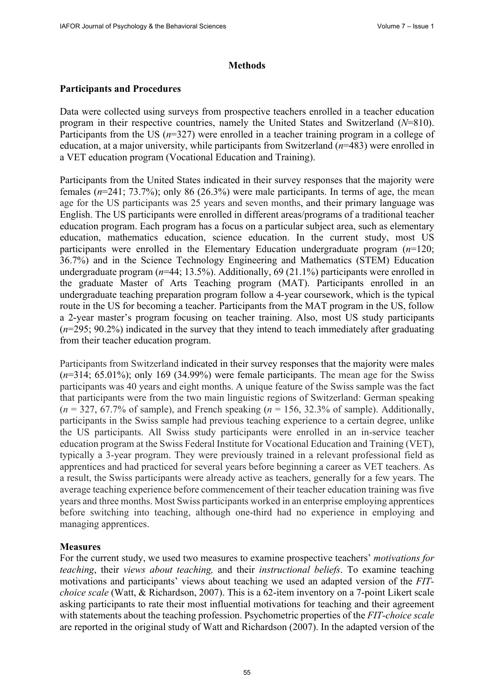### **Methods**

### **Participants and Procedures**

Data were collected using surveys from prospective teachers enrolled in a teacher education program in their respective countries, namely the United States and Switzerland (*N*=810). Participants from the US (*n*=327) were enrolled in a teacher training program in a college of education, at a major university, while participants from Switzerland (*n*=483) were enrolled in a VET education program (Vocational Education and Training).

Participants from the United States indicated in their survey responses that the majority were females (*n*=241; 73.7%); only 86 (26.3%) were male participants. In terms of age, the mean age for the US participants was 25 years and seven months, and their primary language was English. The US participants were enrolled in different areas/programs of a traditional teacher education program. Each program has a focus on a particular subject area, such as elementary education, mathematics education, science education. In the current study, most US participants were enrolled in the Elementary Education undergraduate program (*n*=120; 36.7%) and in the Science Technology Engineering and Mathematics (STEM) Education undergraduate program (*n*=44; 13.5%). Additionally, 69 (21.1%) participants were enrolled in the graduate Master of Arts Teaching program (MAT). Participants enrolled in an undergraduate teaching preparation program follow a 4-year coursework, which is the typical route in the US for becoming a teacher. Participants from the MAT program in the US, follow a 2-year master's program focusing on teacher training. Also, most US study participants (*n*=295; 90.2%) indicated in the survey that they intend to teach immediately after graduating from their teacher education program.

Participants from Switzerland indicated in their survey responses that the majority were males (*n*=314; 65.01%); only 169 (34.99%) were female participants. The mean age for the Swiss participants was 40 years and eight months. A unique feature of the Swiss sample was the fact that participants were from the two main linguistic regions of Switzerland: German speaking  $(n = 327, 67.7\%$  of sample), and French speaking  $(n = 156, 32.3\%$  of sample). Additionally, participants in the Swiss sample had previous teaching experience to a certain degree, unlike the US participants. All Swiss study participants were enrolled in an in-service teacher education program at the Swiss Federal Institute for Vocational Education and Training (VET), typically a 3-year program. They were previously trained in a relevant professional field as apprentices and had practiced for several years before beginning a career as VET teachers. As a result, the Swiss participants were already active as teachers, generally for a few years. The average teaching experience before commencement of their teacher education training was five years and three months. Most Swiss participants worked in an enterprise employing apprentices before switching into teaching, although one-third had no experience in employing and managing apprentices.

### **Measures**

For the current study, we used two measures to examine prospective teachers' *motivations for teaching*, their *views about teaching,* and their *instructional beliefs*. To examine teaching motivations and participants' views about teaching we used an adapted version of the *FITchoice scale* (Watt, & Richardson, 2007). This is a 62-item inventory on a 7-point Likert scale asking participants to rate their most influential motivations for teaching and their agreement with statements about the teaching profession. Psychometric properties of the *FIT-choice scale*  are reported in the original study of Watt and Richardson (2007). In the adapted version of the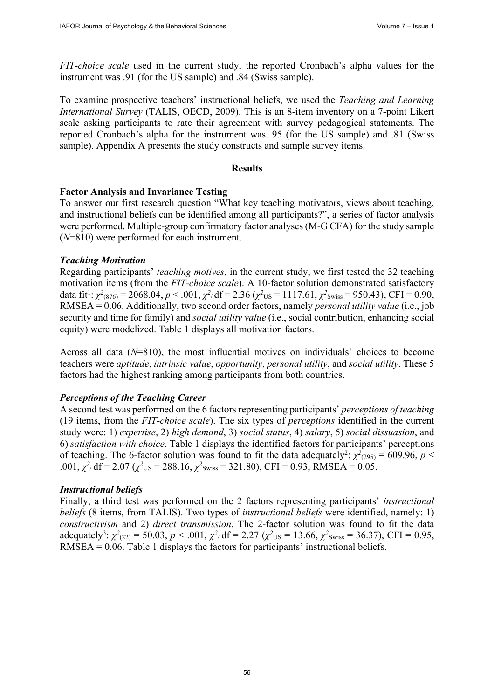*FIT-choice scale* used in the current study, the reported Cronbach's alpha values for the instrument was .91 (for the US sample) and .84 (Swiss sample).

To examine prospective teachers' instructional beliefs, we used the *Teaching and Learning International Survey* (TALIS, OECD, 2009). This is an 8-item inventory on a 7-point Likert scale asking participants to rate their agreement with survey pedagogical statements. The reported Cronbach's alpha for the instrument was. 95 (for the US sample) and .81 (Swiss sample). Appendix A presents the study constructs and sample survey items.

### **Results**

### **Factor Analysis and Invariance Testing**

To answer our first research question "What key teaching motivators, views about teaching, and instructional beliefs can be identified among all participants?", a series of factor analysis were performed. Multiple-group confirmatory factor analyses (M-G CFA) for the study sample (*N*=810) were performed for each instrument.

### *Teaching Motivation*

Regarding participants' *teaching motives,* in the current study, we first tested the 32 teaching motivation items (from the *FIT-choice scale*). A 10-factor solution demonstrated satisfactory data fit<sup>1</sup>:  $\chi^2$ (876) = 2068.04, *p* < .001,  $\chi^2$ /df = 2.36 ( $\chi^2$ <sub>US</sub> = 1117.61,  $\chi^2$ <sub>Swiss</sub> = 950.43), CFI = 0.90, RMSEA = 0.06. Additionally, two second order factors, namely *personal utility value* (i.e., job security and time for family) and *social utility value* (i.e., social contribution, enhancing social equity) were modelized. Table 1 displays all motivation factors.

Across all data (*N*=810), the most influential motives on individuals' choices to become teachers were *aptitude*, *intrinsic value*, *opportunity*, *personal utility*, and *social utility*. These 5 factors had the highest ranking among participants from both countries.

### *Perceptions of the Teaching Career*

A second test was performed on the 6 factors representing participants' *perceptions of teaching* (19 items, from the *FIT-choice scale*). The six types of *perceptions* identified in the current study were: 1) *expertise*, 2) *high demand*, 3) *social status*, 4) *salary*, 5) *social dissuasion*, and 6) *satisfaction with choice*. Table 1 displays the identified factors for participants' perceptions of teaching. The 6-factor solution was found to fit the data adequately<sup>2</sup>:  $\chi^2_{(295)} = 609.96$ ,  $p <$ .001,  $\chi^2$ /df = 2.07 ( $\chi^2$ US = 288.16,  $\chi^2$ Swiss = 321.80), CFI = 0.93, RMSEA = 0.05.

### *Instructional beliefs*

Finally, a third test was performed on the 2 factors representing participants' *instructional beliefs* (8 items, from TALIS). Two types of *instructional beliefs* were identified, namely: 1) *constructivism* and 2) *direct transmission*. The 2-factor solution was found to fit the data adequately<sup>3</sup>:  $\chi^2_{(22)} = 50.03$ ,  $p < .001$ ,  $\chi^2$  df = 2.27 ( $\chi^2$ <sub>US</sub> = 13.66,  $\chi^2$ <sub>Swiss</sub> = 36.37), CFI = 0.95, RMSEA = 0.06. Table 1 displays the factors for participants' instructional beliefs.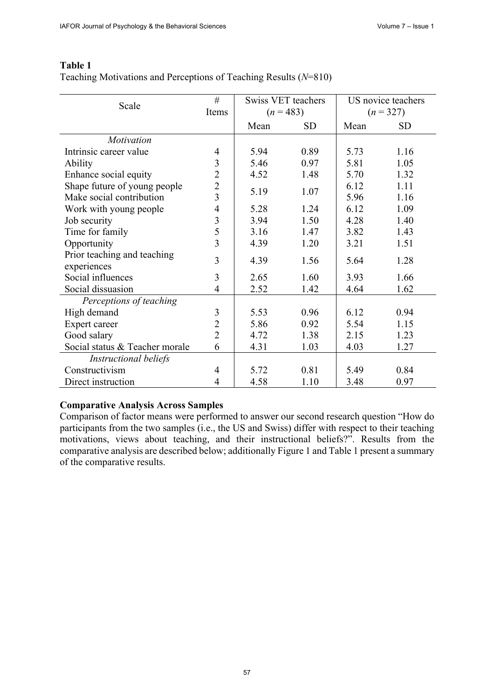| Scale                          | #              | Swiss VET teachers |           | US novice teachers |           |
|--------------------------------|----------------|--------------------|-----------|--------------------|-----------|
|                                | Items          | $(n=483)$          |           | $(n = 327)$        |           |
|                                |                | Mean               | <b>SD</b> | Mean               | <b>SD</b> |
| Motivation                     |                |                    |           |                    |           |
| Intrinsic career value         | $\overline{4}$ | 5.94               | 0.89      | 5.73               | 1.16      |
| Ability                        | 3              | 5.46               | 0.97      | 5.81               | 1.05      |
| Enhance social equity          | $\overline{2}$ | 4.52               | 1.48      | 5.70               | 1.32      |
| Shape future of young people   | $\overline{2}$ |                    |           | 6.12               | 1.11      |
| Make social contribution       | $\overline{3}$ | 5.19               | 1.07      |                    | 1.16      |
| Work with young people         | $\overline{4}$ | 5.28               | 1.24      | 6.12               | 1.09      |
| Job security                   | 3              | 3.94               | 1.50      | 4.28               | 1.40      |
| Time for family                | 5              | 3.16               | 1.47      | 3.82               | 1.43      |
| Opportunity                    | 3              | 4.39               | 1.20      | 3.21               | 1.51      |
| Prior teaching and teaching    | 3              |                    |           |                    |           |
| experiences                    |                | 4.39               | 1.56      | 5.64               | 1.28      |
| Social influences              | 3              | 2.65               | 1.60      | 3.93               | 1.66      |
| Social dissuasion              | 4              | 2.52               | 1.42      | 4.64               | 1.62      |
| Perceptions of teaching        |                |                    |           |                    |           |
| High demand                    | 3              | 5.53               | 0.96      | 6.12               | 0.94      |
| Expert career                  | $\overline{2}$ | 5.86               | 0.92      | 5.54               | 1.15      |
| Good salary                    | $\overline{2}$ | 4.72               | 1.38      | 2.15               | 1.23      |
| Social status & Teacher morale | 6              | 4.31               | 1.03      | 4.03               | 1.27      |
| Instructional beliefs          |                |                    |           |                    |           |
| Constructivism                 | 4              | 5.72               | 0.81      | 5.49               | 0.84      |
| Direct instruction             | $\overline{4}$ | 4.58               | 1.10      | 3.48               | 0.97      |

### **Table 1** Teaching Motivations and Perceptions of Teaching Results (*N*=810)

### **Comparative Analysis Across Samples**

Comparison of factor means were performed to answer our second research question "How do participants from the two samples (i.e., the US and Swiss) differ with respect to their teaching motivations, views about teaching, and their instructional beliefs?". Results from the comparative analysis are described below; additionally Figure 1 and Table 1 present a summary of the comparative results.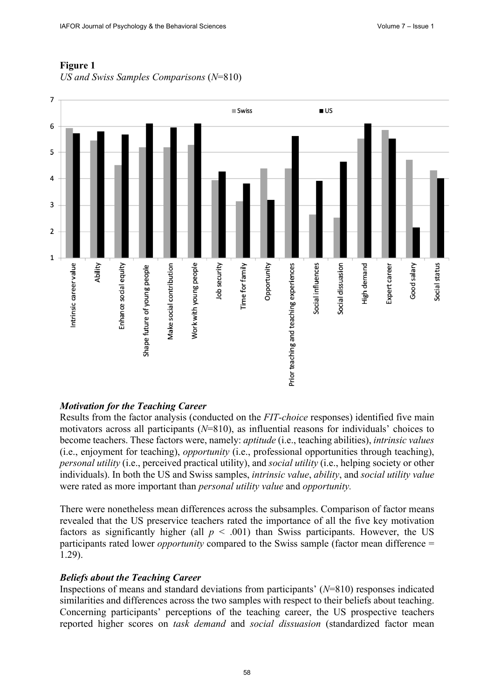

## **Figure 1**

*US and Swiss Samples Comparisons* (*N*=810)

### *Motivation for the Teaching Career*

Results from the factor analysis (conducted on the *FIT-choice* responses) identified five main motivators across all participants (*N*=810), as influential reasons for individuals' choices to become teachers. These factors were, namely: *aptitude* (i.e., teaching abilities), *intrinsic values* (i.e., enjoyment for teaching), *opportunity* (i.e., professional opportunities through teaching), *personal utility* (i.e., perceived practical utility), and *social utility* (i.e., helping society or other individuals). In both the US and Swiss samples, *intrinsic value*, *ability*, and *social utility value* were rated as more important than *personal utility value* and *opportunity.*

There were nonetheless mean differences across the subsamples. Comparison of factor means revealed that the US preservice teachers rated the importance of all the five key motivation factors as significantly higher (all  $p < .001$ ) than Swiss participants. However, the US participants rated lower *opportunity* compared to the Swiss sample (factor mean difference = 1.29).

### *Beliefs about the Teaching Career*

Inspections of means and standard deviations from participants' (*N*=810) responses indicated similarities and differences across the two samples with respect to their beliefs about teaching. Concerning participants' perceptions of the teaching career, the US prospective teachers reported higher scores on *task demand* and *social dissuasion* (standardized factor mean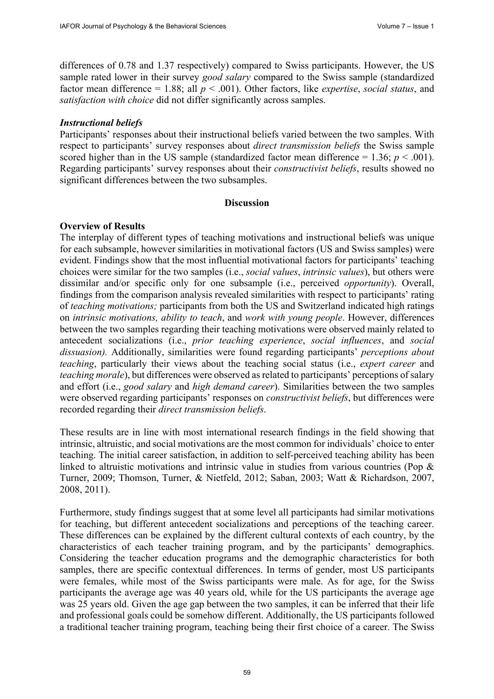differences of 0.78 and 1.37 respectively) compared to Swiss participants. However, the US sample rated lower in their survey *good salary* compared to the Swiss sample (standardized factor mean difference = 1.88; all *p* < .001). Other factors, like *expertise*, *social status*, and *satisfaction with choice* did not differ significantly across samples.

#### *Instructional beliefs*

Participants' responses about their instructional beliefs varied between the two samples. With respect to participants' survey responses about *direct transmission beliefs* the Swiss sample scored higher than in the US sample (standardized factor mean difference  $= 1.36$ ;  $p < .001$ ). Regarding participants' survey responses about their *constructivist beliefs*, results showed no significant differences between the two subsamples.

### **Discussion**

### **Overview of Results**

The interplay of different types of teaching motivations and instructional beliefs was unique for each subsample, however similarities in motivational factors (US and Swiss samples) were evident. Findings show that the most influential motivational factors for participants' teaching choices were similar for the two samples (i.e., *social values*, *intrinsic values*), but others were dissimilar and/or specific only for one subsample (i.e., perceived *opportunity*). Overall, findings from the comparison analysis revealed similarities with respect to participants' rating of *teaching motivations;* participants from both the US and Switzerland indicated high ratings on *intrinsic motivations, ability to teach*, and *work with young people*. However, differences between the two samples regarding their teaching motivations were observed mainly related to antecedent socializations (i.e., *prior teaching experience*, *social influences*, and *social dissuasion).* Additionally, similarities were found regarding participants' *perceptions about teaching*, particularly their views about the teaching social status (i.e., *expert career* and *teaching morale*), but differences were observed as related to participants' perceptions of salary and effort (i.e., *good salary* and *high demand career*). Similarities between the two samples were observed regarding participants' responses on *constructivist beliefs*, but differences were recorded regarding their *direct transmission beliefs*.

These results are in line with most international research findings in the field showing that intrinsic, altruistic, and social motivations are the most common for individuals' choice to enter teaching. The initial career satisfaction, in addition to self-perceived teaching ability has been linked to altruistic motivations and intrinsic value in studies from various countries (Pop & Turner, 2009; Thomson, Turner, & Nietfeld, 2012; Saban, 2003; Watt & Richardson, 2007, 2008, 2011).

Furthermore, study findings suggest that at some level all participants had similar motivations for teaching, but different antecedent socializations and perceptions of the teaching career. These differences can be explained by the different cultural contexts of each country, by the characteristics of each teacher training program, and by the participants' demographics. Considering the teacher education programs and the demographic characteristics for both samples, there are specific contextual differences. In terms of gender, most US participants were females, while most of the Swiss participants were male. As for age, for the Swiss participants the average age was 40 years old, while for the US participants the average age was 25 years old. Given the age gap between the two samples, it can be inferred that their life and professional goals could be somehow different. Additionally, the US participants followed a traditional teacher training program, teaching being their first choice of a career. The Swiss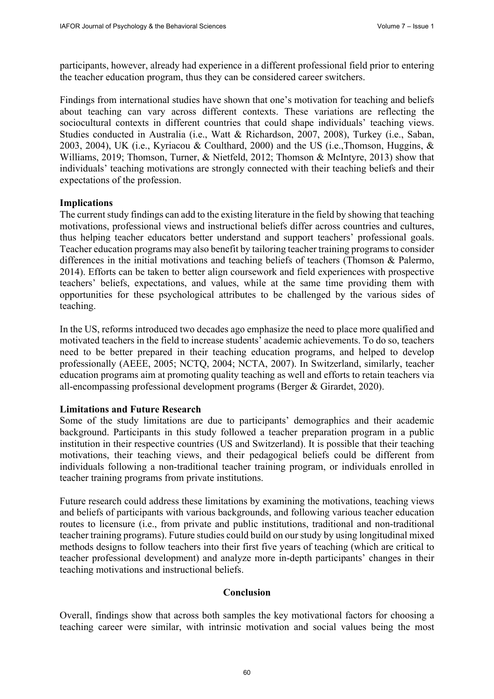participants, however, already had experience in a different professional field prior to entering the teacher education program, thus they can be considered career switchers.

Findings from international studies have shown that one's motivation for teaching and beliefs about teaching can vary across different contexts. These variations are reflecting the sociocultural contexts in different countries that could shape individuals' teaching views. Studies conducted in Australia (i.e., Watt & Richardson, 2007, 2008), Turkey (i.e., Saban, 2003, 2004), UK (i.e., Kyriacou & Coulthard, 2000) and the US (i.e.,Thomson, Huggins, & Williams, 2019; Thomson, Turner, & Nietfeld, 2012; Thomson & McIntyre, 2013) show that individuals' teaching motivations are strongly connected with their teaching beliefs and their expectations of the profession.

#### **Implications**

The current study findings can add to the existing literature in the field by showing that teaching motivations, professional views and instructional beliefs differ across countries and cultures, thus helping teacher educators better understand and support teachers' professional goals. Teacher education programs may also benefit by tailoring teacher training programs to consider differences in the initial motivations and teaching beliefs of teachers (Thomson & Palermo, 2014). Efforts can be taken to better align coursework and field experiences with prospective teachers' beliefs, expectations, and values, while at the same time providing them with opportunities for these psychological attributes to be challenged by the various sides of teaching.

In the US, reforms introduced two decades ago emphasize the need to place more qualified and motivated teachers in the field to increase students' academic achievements. To do so, teachers need to be better prepared in their teaching education programs, and helped to develop professionally (AEEE, 2005; NCTQ, 2004; NCTA, 2007). In Switzerland, similarly, teacher education programs aim at promoting quality teaching as well and efforts to retain teachers via all-encompassing professional development programs (Berger & Girardet, 2020).

#### **Limitations and Future Research**

Some of the study limitations are due to participants' demographics and their academic background. Participants in this study followed a teacher preparation program in a public institution in their respective countries (US and Switzerland). It is possible that their teaching motivations, their teaching views, and their pedagogical beliefs could be different from individuals following a non-traditional teacher training program, or individuals enrolled in teacher training programs from private institutions.

Future research could address these limitations by examining the motivations, teaching views and beliefs of participants with various backgrounds, and following various teacher education routes to licensure (i.e., from private and public institutions, traditional and non-traditional teacher training programs). Future studies could build on our study by using longitudinal mixed methods designs to follow teachers into their first five years of teaching (which are critical to teacher professional development) and analyze more in-depth participants' changes in their teaching motivations and instructional beliefs.

### **Conclusion**

Overall, findings show that across both samples the key motivational factors for choosing a teaching career were similar, with intrinsic motivation and social values being the most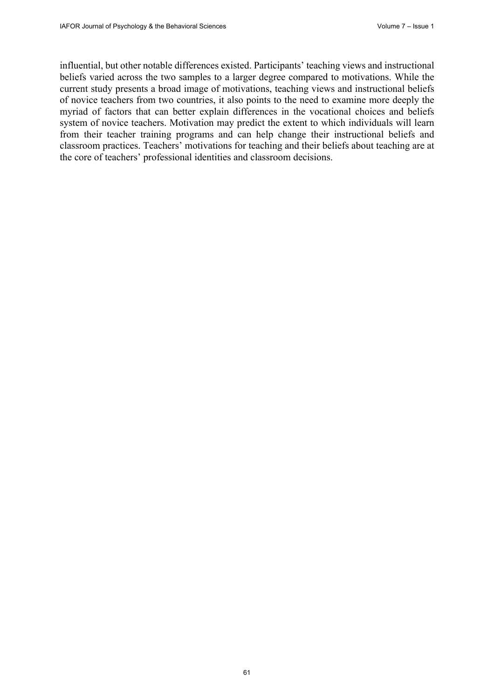influential, but other notable differences existed. Participants' teaching views and instructional beliefs varied across the two samples to a larger degree compared to motivations. While the current study presents a broad image of motivations, teaching views and instructional beliefs of novice teachers from two countries, it also points to the need to examine more deeply the myriad of factors that can better explain differences in the vocational choices and beliefs system of novice teachers. Motivation may predict the extent to which individuals will learn from their teacher training programs and can help change their instructional beliefs and classroom practices. Teachers' motivations for teaching and their beliefs about teaching are at the core of teachers' professional identities and classroom decisions.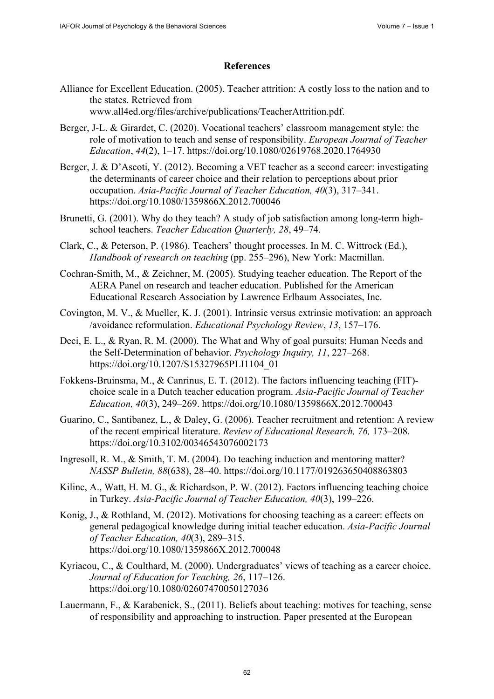### **References**

Alliance for Excellent Education. (2005). Teacher attrition: A costly loss to the nation and to the states. Retrieved from

[www.all4ed.org/files/archive/publications/TeacherAttrition.pdf.](http://www.all4ed.org/files/archive/publications/TeacherAttrition.pdf) 

- Berger, J-L. & Girardet, C. (2020). Vocational teachers' classroom management style: the role of motivation to teach and sense of responsibility. *European Journal of Teacher Education*, *44*(2), 1–17. https://doi.org/10.1080/02619768.2020.1764930
- Berger, J. & D'Ascoti, Y. (201[2\). Becoming a VET teacher as a second career: inve](https://doi.org/10.1080/02619768.2020.1764930)stigating the determinants of career choice and their relation to perceptions about prior occupation. *Asia-Pacific Journal of Teacher Education, 40*(3), 317–341. https://doi.org/10.1080/1359866X.2012.700046
- Brunett[i, G. \(2001\). Why do they teach? A study of job sa](https://doi.org/10.1080/1359866X.2012.700046)tisfaction among long-term highschool teachers. *Teacher Education Quarterly, 28*, 49–74.
- Clark, C., & Peterson, P. (1986). Teachers' thought processes. In M. C. Wittrock (Ed.), *Handbook of research on teaching* (pp. 255–296), New York: Macmillan.
- Cochran-Smith, M., & Zeichner, M. (2005). Studying teacher education. The Report of the AERA Panel on research and teacher education. Published for the American Educational Research Association by Lawrence Erlbaum Associates, Inc.
- Covington, M. V., & Mueller, K. J. (2001). Intrinsic versus extrinsic motivation: an approach /avoidance reformulation. *Educational Psychology Review*, *13*, 157–176.
- Deci, E. L., & Ryan, R. M. (2000). The What and Why of goal pursuits: Human Needs and the Self-Determination of behavior. *Psychology Inquiry, 11*, 227–268. https://doi.org/10.1207/S15327965PLI1104\_01
- Fokken[s-Bruinsma, M., & Canrinus, E. T. \(20](https://doi.org/10.1016/0030-5073)12). The factors influencing teaching (FIT) choice scale in a Dutch teacher education program. *Asia-Pacific Journal of Teacher Education, 40*(3), 249–269. https://doi.org/10.1080/1359866X.2012.700043
- Guarin[o, C., Santibanez, L., & Daley, G. \(2006\). Teacher](https://doi.org/10.1207/S15327965PLI1104_01) recruitment and retention: A review of the recent empirical literature. *Review of Educational Research, 76,* 173–208. https://doi.org/10.3102/00346543076002173
- Ingresoll, R. M., & Smith, T. M. (2[004\). Do teaching induction and mentoring matter?](https://doi.org/10.1080/1359866X.2012.700043) *NASSP Bulletin, 88*(638), 28–40. https://doi.org/10.1177/019263650408863803
- Kilinc, A., Watt, H. M. G., & Richardson, P. W. (2012). Factors influencing teaching choice in Turkey. *[Asia-Pacific Journal of Teacher Edu](https://doi.org/10.3102/00346543076002173)cation, 40*(3), 199–226.
- Konig, J., & Rothland, M. (2012). Motivations for choosing teaching as a career: effects on general pedagogical knowledge d[uring initial teacher education.](https://doi.org/10.1177/019263650408863803) *Asia-Pacific Journal of Teacher Education, 40*(3), 289–315. https://doi.org/10.1080/1359866X.2012.700048
- Kyriacou, C., & Coulthard, M. (2000). Undergraduates' views of teaching as a career choice. *Journal of Education for Teaching, 26*, 117–126. https://doi.org/10.1080/02607470050127036
- Lauer[mann, F., & Karabenick, S., \(2011\). Beliefs about te](https://doi.org/10.1080/1359866X.2012.700048)aching: motives for teaching, sense of responsibility and approaching to instruction. Paper presented at the European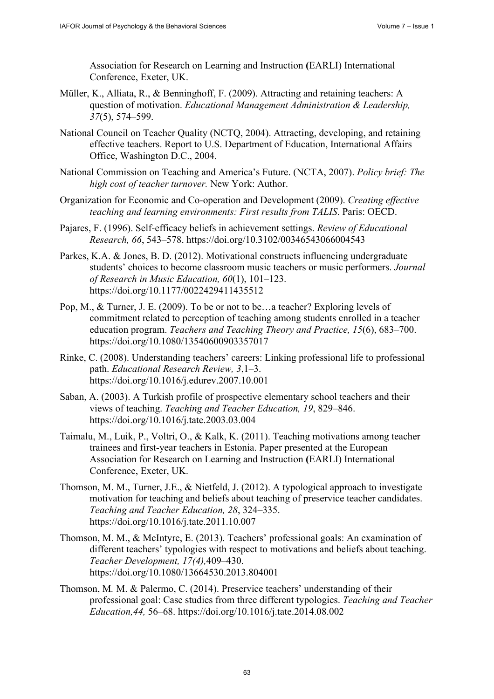Association for Research on Learning and Instruction **(**EARLI) International Conference, Exeter, UK.

- Müller, [K., Alliata, R., & Benninghoff, F. \(2009\). Attra](https://doi.org/10.1080/02607470050127036)cting and retaining teachers: A question of motivation. *Educational Management Administration & Leadership, 37*(5), 574–599.
- National Council on Teacher Quality (NCTQ, 2004). Attracting, developing, and retaining effective teachers. Report to U.S. Department of Education, International Affairs Office, Washington D.C., 2004.
- National Commission on Teaching and America's Future. (NCTA, 2007). *Policy brief: The high cost of teacher turnover.* New York: Author.
- Organization for Economic and Co-operation and Development (2009). *Creating effective teaching and learning environments: First results from TALIS*. Paris: OECD.
- Pajares, F. (1996). Self-efficacy beliefs in achievement settings. *Review of Educational Research, 66*, 543–578. https://doi.org/10.3102/00346543066004543
- Parkes, K.A. & Jones, B. D. (2012). Motivational constructs influencing undergraduate students' choices to become classroom music teachers or music performers. *Journal of Research in Music Education, 60*(1), 101–123. https://doi.org/10.1177/0022429411435512
- Pop, M., & Turner, J. E. (2009)[. To be or not to be…a teacher? Exploring level](https://doi.org/10.3102/00346543066004543)s of commitment related to perception of teaching among students enrolled in a teacher education program. *Teachers and Teaching Theory and Practice, 15*(6), 683–700. https://doi.org/10.1080/13540600903357017
- Rinke, [C. \(2008\). Understanding teachers' careers: Lin](https://doi.org/10.1177/0022429411435512)king professional life to professional path. *Educational Research Review, 3*,1–3. https://doi.org/10.1016/j.edurev.2007.10.001
- Saban, [A. \(2003\). A Turkish profile of prospective elem](https://doi.org/10.1080/13540600903357017)entary school teachers and their views of teaching. *Teaching and Teacher Education, 19*, 829–846. https://doi.org/10.1016/j.tate.2003.03.004
- Taimalu, M., Luik, P., Voltri, O., & Kalk, K. (2011). Teaching motivations among teacher [trainees and first-year teachers in Estonia. Paper](https://doi.org/10.1016/j.edurev.2007.10.001) presented at the European Association for Research on Learning and Instruction **(**EARLI) International Conference, Exeter, UK.
- Thoms[on, M. M., Turner, J.E., & Nietfeld, J. \(2012\)](https://doi.org/10.1016/j.tate.2003.03.004). A typological approach to investigate motivation for teaching and beliefs about teaching of preservice teacher candidates. *Teaching and Teacher Education, 28*, 324–335. https://doi.org/10.1016/j.tate.2011.10.007
- Thomson, M. M., & McIntyre, E. (2013). Teachers' professional goals: An examination of different teachers' typologies with respect to motivations and beliefs about teaching. *Teacher Development, 17(4),*409–430. [https://doi.org/10.1080/13664530.2013.](https://doi.org/10.1016/S0742-051X)804001
- Thomson, M*.* M. & Palermo, C. (2014). Preservice teachers' understanding of their professional goal: Case studies from three different typologies. *Teaching and Teacher Education,44,* [56–68. https://doi.org/10.1016/j.t](https://doi.org/10.3200/JOER.100.5.303-310)ate.2014.08.002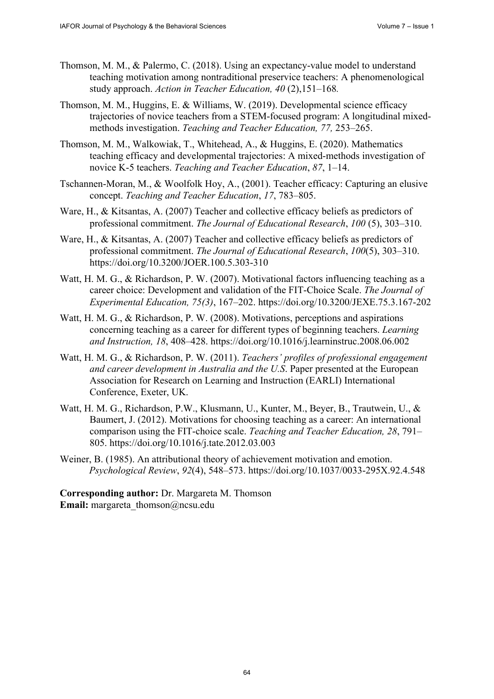- Thomson, M. M., & Palermo, C. (2018). Using an expectancy-value model to understand teaching motivation among nontraditional preservice teachers: A phenomenological study approach. *Action in Teacher Education, 40* [\(2\),151–168](https://doi.org/10.3200/JEXE.75.3.167-202)*.*
- Thomson, M. M., Huggins, E. & Williams, W. (2019). Developmental science efficacy trajectories of novice teachers from a STEM-focused program: A longitudinal mixedmethods investigation. *Teachi[ng and Teacher Education, 77,](https://doi.org/10.1016/j.learninstruc.2008.06.002)* 253–265.
- Thomson, M. M., Walkowiak, T., Whitehead, A., & Huggins, E. (2020). Mathematics teaching efficacy and developmental trajectories: A mixed-methods investigation of novice K-5 teachers. *Teaching and Teacher Education*, *87*, 1–14.
- Tschannen-Moran, M., & Woolfolk Hoy, A., (2001). Teacher efficacy: Capturing an elusive concept. *Teaching and Teacher Education*, *17*, 783–805.
- Ware, H., & Kitsantas, A. (2007) Teacher and collective efficacy beliefs as predictors of professional commitment. *[The Journal of Educati](https://doi.org/10.1016/j.tate.2012.03.003)onal Research*, *100* (5), 303–310.
- Ware, H., & Kitsantas, A. (2007) Teacher and collective efficacy beliefs as predictors of professional commitment. *The Journal [of Educational Research](https://doi.org/10.1037/0033-295X.92.4.548)*, *100*(5), 303–310. https://doi.org/10.3200/JOER.100.5.303-310
- Watt, H. M. G., & Richardson, P. W. (2007). Motivational factors influencing teaching as a [career choice: Development and v](mailto:margareta_thomson@ncsu.edu)alidation of the FIT-Choice Scale. *The Journal of Experimental Education, 75(3)*, 167–202. https://doi.org/10.3200/JEXE.75.3.167-202
- Watt, H. M. G., & Richardson, P. W. (2008). Motivations, perceptions and aspirations concerning teaching as a career for different types of beginning teachers. *Learning and Instruction, 18*, 408–428. https://doi.org/10.1016/j.learninstruc.2008.06.002
- Watt, H. M. G., & Richardson, P. W. (2011). *Teachers' profiles of professional engagement and career development in Australia and the U.S*. Paper presented at the European Association for Research on Learning and Instruction (EARLI) International Conference, Exeter, UK.
- Watt, H. M. G., Richardson, P.W., Klusmann, U., Kunter, M., Beyer, B., Trautwein, U., & Baumert, J. (2012). Motivations for choosing teaching as a career: An international comparison using the FIT-choice scale. *Teaching and Teacher Education, 28*, 791– 805. https://doi.org/10.1016/j.tate.2012.03.003
- Weiner, B. (1985). An attributional theory of achievement motivation and emotion. *Psychological Review*, *92*(4), 548–573. https://doi.org/10.1037/0033-295X.92.4.548

**Corresponding author:** Dr. Margareta M. Thomson **Email:** margareta\_thomson@ncsu.edu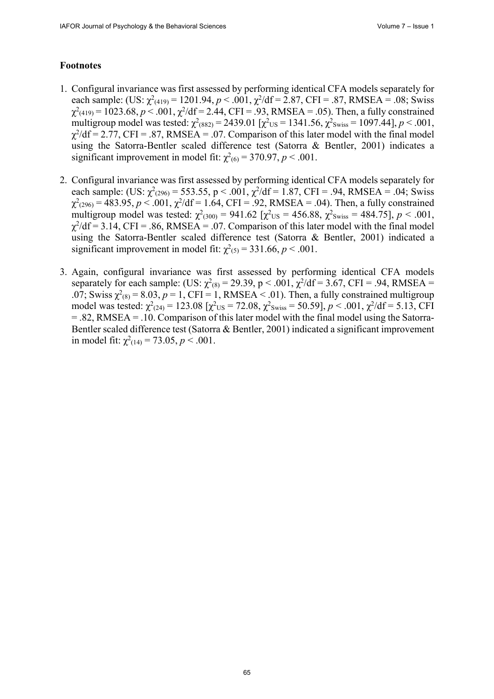### **Footnotes**

- 1. Configural invariance was first assessed by performing identical CFA models separately for each sample: (US:  $\chi^2_{(419)} = 1201.94$ ,  $p < .001$ ,  $\chi^2/df = 2.87$ , CFI = .87, RMSEA = .08; Swiss  $\chi^2_{(419)} = 1023.68, p < .001, \chi^2/df = 2.44, CFI = .93, RMSEA = .05)$ . Then, a fully constrained multigroup model was tested:  $\chi^2$ <sub>(882)</sub> = 2439.01 [ $\chi^2$ <sub>US</sub> = 1341.56,  $\chi^2$ <sub>Swiss</sub> = 1097.44], *p* < .001,  $\chi^2$ /df = 2.77, CFI = .87, RMSEA = .07. Comparison of this later model with the final model using the Satorra-Bentler scaled difference test (Satorra & Bentler, 2001) indicates a significant improvement in model fit:  $\chi^2$ <sub>(6)</sub> = 370.97, *p* < .001.
- 2. Configural invariance was first assessed by performing identical CFA models separately for each sample: (US:  $\chi^2_{(296)} = 553.55$ , p < .001,  $\chi^2/df = 1.87$ , CFI = .94, RMSEA = .04; Swiss  $\chi^2_{(296)} = 483.95, p < .001, \chi^2/df = 1.64, CFI = .92, RMSEA = .04)$ . Then, a fully constrained multigroup model was tested:  $\chi^2_{(300)} = 941.62$  [ $\chi^2_{US} = 456.88$ ,  $\chi^2_{Swiss} = 484.75$ ],  $p < .001$ ,  $\chi^2$ /df = 3.14, CFI = .86, RMSEA = .07. Comparison of this later model with the final model using the Satorra-Bentler scaled difference test (Satorra & Bentler, 2001) indicated a significant improvement in model fit:  $\chi^2(s) = 331.66$ ,  $p < .001$ .
- 3. Again, configural invariance was first assessed by performing identical CFA models separately for each sample: (US:  $\chi^2_{(8)} = 29.39$ , p < .001,  $\chi^2/df = 3.67$ , CFI = .94, RMSEA = .07; Swiss  $\chi^2_{(8)} = 8.03$ ,  $p = 1$ , CFI = 1, RMSEA < .01). Then, a fully constrained multigroup model was tested:  $\chi^2_{(24)} = 123.08$  [ $\chi^2_{US} = 72.08$ ,  $\chi^2_{Swiss} = 50.59$ ], *p* < .001,  $\chi^2/df = 5.13$ , CFI = .82, RMSEA = .10. Comparison of this later model with the final model using the Satorra-Bentler scaled difference test (Satorra & Bentler, 2001) indicated a significant improvement in model fit:  $\chi^2(14) = 73.05$ ,  $p < .001$ .